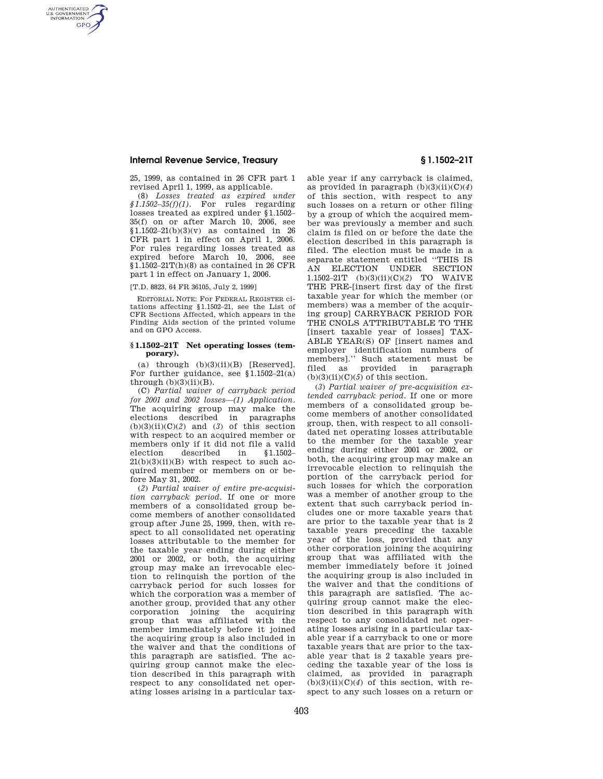## **Internal Revenue Service, Treasury § 1.1502–21T**

AUTHENTICATED<br>U.S. GOVERNMENT<br>INFORMATION **GPO** 

> 25, 1999, as contained in 26 CFR part 1 revised April 1, 1999, as applicable.

(8) *Losses treated as expired under §1.1502–35(f)(1).* For rules regarding losses treated as expired under §1.1502– 35(f) on or after March 10, 2006, see  $$1.1502-21(b)(3)(v)$  as contained in 26 CFR part 1 in effect on April 1, 2006. For rules regarding losses treated as expired before March 10, 2006, see  $$1.1502-21T(h)(8)$  as contained in 26 CFR part 1 in effect on January 1, 2006.

[T.D. 8823, 64 FR 36105, July 2, 1999]

EDITORIAL NOTE: For FEDERAL REGISTER citations affecting §1.1502–21, see the List of CFR Sections Affected, which appears in the Finding Aids section of the printed volume and on GPO Access.

## **§ 1.1502–21T Net operating losses (temporary).**

(a) through  $(b)(3)(ii)(B)$  [Reserved]. For further guidance, see §1.1502–21(a) through  $(b)(3)(ii)(B)$ .

(C) *Partial waiver of carryback period for 2001 and 2002 losses—(1) Application.*  The acquiring group may make the elections described in paragraphs  $(b)(3)(ii)(C)(2)$  and  $(3)$  of this section with respect to an acquired member or members only if it did not file a valid election described in §1.1502–  $21(b)(3)(ii)(B)$  with respect to such acquired member or members on or before May 31, 2002.

(*2*) *Partial waiver of entire pre-acquisition carryback period.* If one or more members of a consolidated group become members of another consolidated group after June 25, 1999, then, with respect to all consolidated net operating losses attributable to the member for the taxable year ending during either 2001 or 2002, or both, the acquiring group may make an irrevocable election to relinquish the portion of the carryback period for such losses for which the corporation was a member of another group, provided that any other corporation joining the acquiring group that was affiliated with the member immediately before it joined the acquiring group is also included in the waiver and that the conditions of this paragraph are satisfied. The acquiring group cannot make the election described in this paragraph with respect to any consolidated net operating losses arising in a particular tax-

able year if any carryback is claimed, as provided in paragraph  $(b)(3)(ii)(C)(4)$ of this section, with respect to any such losses on a return or other filing by a group of which the acquired member was previously a member and such claim is filed on or before the date the election described in this paragraph is filed. The election must be made in a separate statement entitled ''THIS IS AN ELECTION UNDER SECTION 1.1502–21T (b)(3)(ii)(C)(*2*) TO WAIVE THE PRE-[insert first day of the first taxable year for which the member (or members) was a member of the acquiring group] CARRYBACK PERIOD FOR THE CNOLS ATTRIBUTABLE TO THE [insert taxable year of losses] TAX-ABLE YEAR(S) OF [insert names and employer identification numbers of members].'' Such statement must be filed as provided in paragraph  $(b)(3)(ii)(C)(5)$  of this section.

(*3*) *Partial waiver of pre-acquisition extended carryback period.* If one or more members of a consolidated group become members of another consolidated group, then, with respect to all consolidated net operating losses attributable to the member for the taxable year ending during either 2001 or 2002, or both, the acquiring group may make an irrevocable election to relinquish the portion of the carryback period for such losses for which the corporation was a member of another group to the extent that such carryback period includes one or more taxable years that are prior to the taxable year that is 2 taxable years preceding the taxable year of the loss, provided that any other corporation joining the acquiring group that was affiliated with the member immediately before it joined the acquiring group is also included in the waiver and that the conditions of this paragraph are satisfied. The acquiring group cannot make the election described in this paragraph with respect to any consolidated net operating losses arising in a particular taxable year if a carryback to one or more taxable years that are prior to the taxable year that is 2 taxable years preceding the taxable year of the loss is claimed, as provided in paragraph  $(b)(3)(ii)(C)(4)$  of this section, with respect to any such losses on a return or